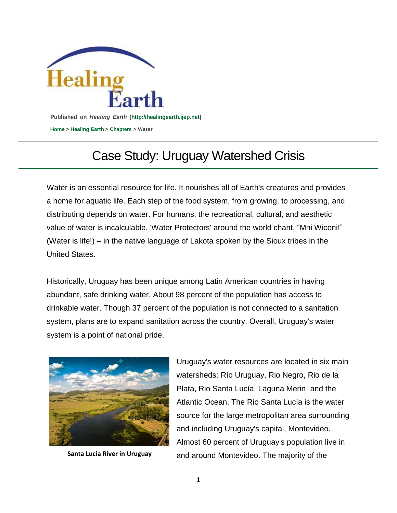

## Case Study: Uruguay Watershed Crisis

Water is an essential resource for life. It nourishes all of Earth's creatures and provides a home for aquatic life. Each step of the food system, from growing, to processing, and distributing depends on water. For humans, the recreational, cultural, and aesthetic value of water is incalculable. 'Water Protectors' around the world chant, "Mni Wiconi!" (Water is life!) – in the native language of Lakota spoken by the Sioux tribes in the United States.

Historically, Uruguay has been unique among Latin American countries in having abundant, safe drinking water. About 98 percent of the population has [access](http://www.export.gov/article?id=Uruguay-Environmental-Technologies-Water-Sanitation) to [drinkable](http://www.export.gov/article?id=Uruguay-Environmental-Technologies-Water-Sanitation) water. Though 37 percent of the population is not connected to a sanitation system, plans are to expand sanitation across the country. Overall, Uruguay's water system is a point of national pride.



Uruguay's water resources are located in six main watersheds: Río Uruguay, Rio Negro, Rio de la Plata, Rio Santa Lucía, Laguna Merin, and the Atlantic Ocean. The Rio Santa Lucía is the water source for the large metropolitan area surrounding and including Uruguay's capital, Montevideo. Almost 60 percent of Uruguay's population live in Santa Lucia River in Uruguay and around Montevideo. The majority of the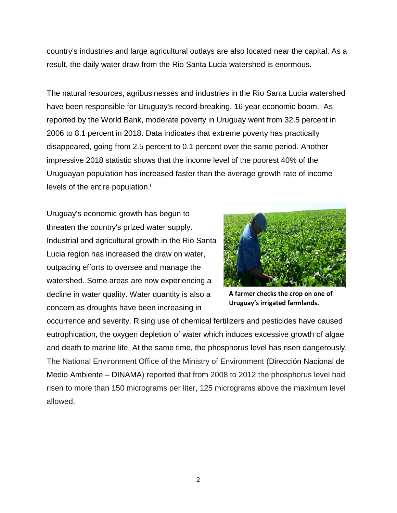country's industries and large agricultural outlays are also located near the capital. As a result, the daily water draw from the Rio Santa Lucia watershed is enormous.

The natural resources, agribusinesses and industries in the Rio Santa Lucia watershed have been responsible for Uruguay's record-breaking, 16 year economic boom. As reported by the World Bank, moderate poverty in Uruguay went from 32.5 percent in 2006 to 8.1 percent in 2018. Data indicates that extreme poverty has practically disappeared, going from 2.5 percent to 0.1 percent over the same period. Another impressive 2018 statistic shows that the income level of the poorest 40% of the Uruguayan population has increased faster than the average growth rate of income levels of the entire population. $\mathbf{i}$ 

Uruguay's economic growth has begun to threaten the country's prized water supply. Industrial and agricultural growth in the Rio Santa Lucia region has increased the draw on water, outpacing efforts to oversee and manage the watershed. Some areas are now experiencing a decline in water quality. Water quantity is also a concern as droughts have been increasing in



**A farmer checks the crop on one of Uruguay's irrigated farmlands.**

occurrence and severity. Rising use of chemical fertilizers and pesticides have caused eutrophication, the oxygen depletion of water which induces excessive growth of algae and death to marine life. At the same time, the phosphorus level has risen dangerously. The National Environment Office of the Ministry of Environment (Dirección Nacional de Medio Ambiente – DINAMA) reported that from 2008 to 2012 the phosphorus level had risen to more than 150 micrograms per liter, 125 micrograms above the maximum level allowed.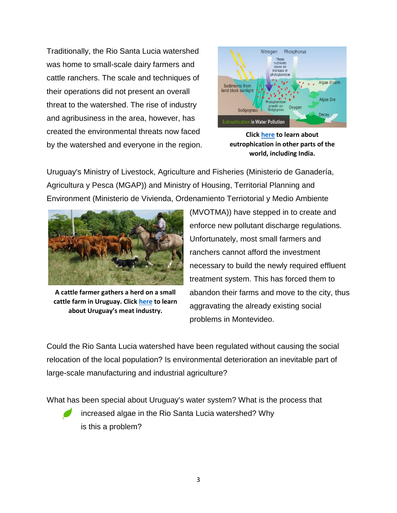Traditionally, the Rio Santa Lucia watershed was home to small-scale dairy farmers and cattle ranchers. The scale and techniques of their operations did not present an overall threat to the watershed. The rise of industry and agribusiness in the area, however, has created the environmental threats now faced by the watershed and everyone in the region.



**Click [here](https://mudart.xyz/the-ecosystem-with-eutrophication/) to learn about eutrophication in other parts of the world, including India.**

Uruguay's Ministry of Livestock, Agriculture and Fisheries (Ministerio de Ganadería, Agricultura y Pesca (MGAP)) and Ministry of Housing, Territorial Planning and Environment (Ministerio de Vivienda, Ordenamiento Terriotorial y Medio Ambiente



**A cattle farmer gathers a herd on a small cattle farm in Uruguay. Click [here](https://www.bbc.com/news/world-latin-america-30210749) to learn about Uruguay's meat industry.**

(MVOTMA)) have stepped in to create and enforce new pollutant discharge regulations. Unfortunately, most small farmers and ranchers cannot afford the investment necessary to build the newly required effluent treatment system. This has forced them to abandon their farms and move to the city, thus aggravating the already existing social problems in Montevideo.

Could the Rio Santa Lucia watershed have been regulated without causing the social relocation of the local population? Is environmental deterioration an inevitable part of large-scale manufacturing and industrial agriculture?

What has been special about Uruguay's water system? What is the process that



increased algae in the Rio Santa Lucia watershed? Why is this a problem?